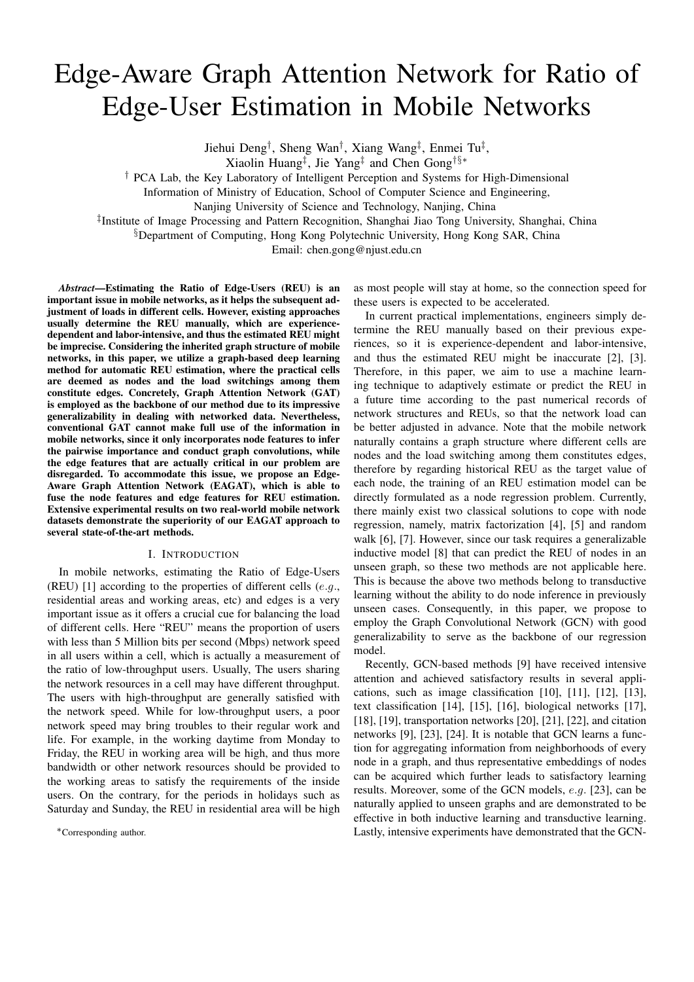# Edge-Aware Graph Attention Network for Ratio of Edge-User Estimation in Mobile Networks

Jiehui Deng<sup>†</sup>, Sheng Wan<sup>†</sup>, Xiang Wang<sup>‡</sup>, Enmei Tu<sup>‡</sup>,

Xiaolin Huang<sup>†</sup>, Jie Yang<sup>‡</sup> and Chen Gong<sup>†§\*</sup>

<sup>†</sup> PCA Lab, the Key Laboratory of Intelligent Perception and Systems for High-Dimensional

Information of Ministry of Education, School of Computer Science and Engineering,

Nanjing University of Science and Technology, Nanjing, China

<sup>‡</sup>Institute of Image Processing and Pattern Recognition, Shanghai Jiao Tong University, Shanghai, China

<sup>§</sup>Department of Computing, Hong Kong Polytechnic University, Hong Kong SAR, China

Email: chen.gong@njust.edu.cn

Abstract-Estimating the Ratio of Edge-Users (REU) is an important issue in mobile networks, as it helps the subsequent adjustment of loads in different cells. However, existing approaches usually determine the REU manually, which are experiencedependent and labor-intensive, and thus the estimated REU might be imprecise. Considering the inherited graph structure of mobile networks, in this paper, we utilize a graph-based deep learning method for automatic REU estimation, where the practical cells are deemed as nodes and the load switchings among them constitute edges. Concretely, Graph Attention Network (GAT) is employed as the backbone of our method due to its impressive generalizability in dealing with networked data. Nevertheless, conventional GAT cannot make full use of the information in mobile networks, since it only incorporates node features to infer the pairwise importance and conduct graph convolutions, while the edge features that are actually critical in our problem are disregarded. To accommodate this issue, we propose an Edge-Aware Graph Attention Network (EAGAT), which is able to fuse the node features and edge features for REU estimation. Extensive experimental results on two real-world mobile network datasets demonstrate the superiority of our EAGAT approach to several state-of-the-art methods.

#### I. INTRODUCTION

In mobile networks, estimating the Ratio of Edge-Users (REU) [1] according to the properties of different cells  $(e.g.,$ residential areas and working areas, etc) and edges is a very important issue as it offers a crucial cue for balancing the load of different cells. Here "REU" means the proportion of users with less than 5 Million bits per second (Mbps) network speed in all users within a cell, which is actually a measurement of the ratio of low-throughput users. Usually, The users sharing the network resources in a cell may have different throughput. The users with high-throughput are generally satisfied with the network speed. While for low-throughput users, a poor network speed may bring troubles to their regular work and life. For example, in the working daytime from Monday to Friday, the REU in working area will be high, and thus more bandwidth or other network resources should be provided to the working areas to satisfy the requirements of the inside users. On the contrary, for the periods in holidays such as Saturday and Sunday, the REU in residential area will be high

\*Corresponding author.

as most people will stay at home, so the connection speed for these users is expected to be accelerated.

In current practical implementations, engineers simply determine the REU manually based on their previous experiences, so it is experience-dependent and labor-intensive, and thus the estimated REU might be inaccurate [2], [3]. Therefore, in this paper, we aim to use a machine learning technique to adaptively estimate or predict the REU in a future time according to the past numerical records of network structures and REUs, so that the network load can be better adjusted in advance. Note that the mobile network naturally contains a graph structure where different cells are nodes and the load switching among them constitutes edges, therefore by regarding historical REU as the target value of each node, the training of an REU estimation model can be directly formulated as a node regression problem. Currently, there mainly exist two classical solutions to cope with node regression, namely, matrix factorization [4], [5] and random walk [6], [7]. However, since our task requires a generalizable inductive model [8] that can predict the REU of nodes in an unseen graph, so these two methods are not applicable here. This is because the above two methods belong to transductive learning without the ability to do node inference in previously unseen cases. Consequently, in this paper, we propose to employ the Graph Convolutional Network (GCN) with good generalizability to serve as the backbone of our regression model.

Recently, GCN-based methods [9] have received intensive attention and achieved satisfactory results in several applications, such as image classification  $[10]$ ,  $[11]$ ,  $[12]$ ,  $[13]$ , text classification [14], [15], [16], biological networks [17], [18], [19], transportation networks [20], [21], [22], and citation networks [9], [23], [24]. It is notable that GCN learns a function for aggregating information from neighborhoods of every node in a graph, and thus representative embeddings of nodes can be acquired which further leads to satisfactory learning results. Moreover, some of the GCN models, e.g. [23], can be naturally applied to unseen graphs and are demonstrated to be effective in both inductive learning and transductive learning. Lastly, intensive experiments have demonstrated that the GCN-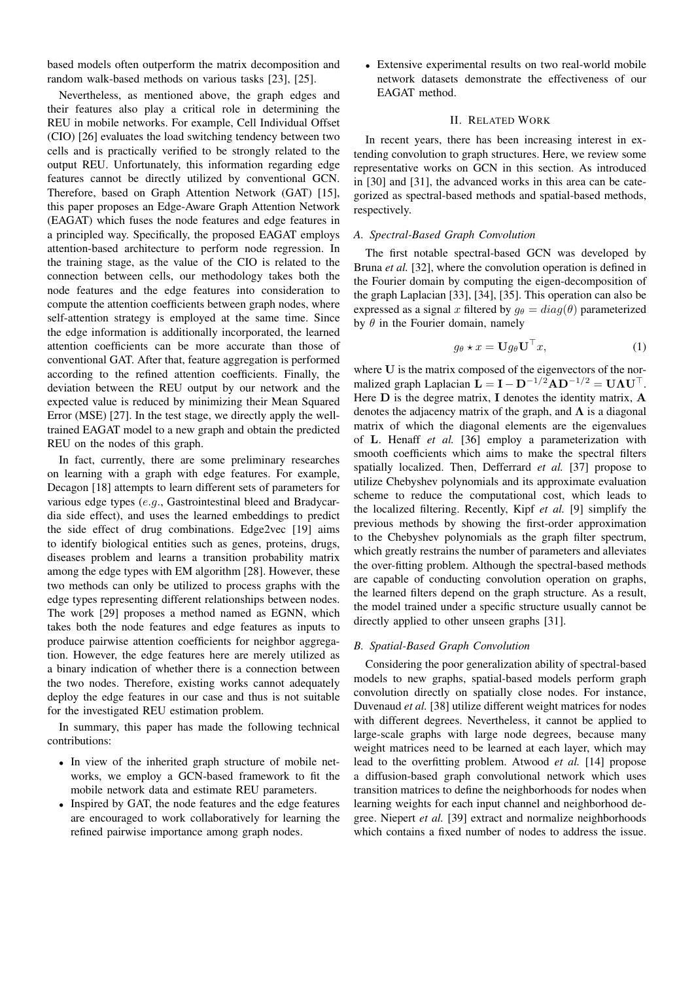based models often outperform the matrix decomposition and random walk-based methods on various tasks [23], [25].

Nevertheless, as mentioned above, the graph edges and their features also play a critical role in determining the REU in mobile networks. For example, Cell Individual Offset (CIO) [26] evaluates the load switching tendency between two cells and is practically verified to be strongly related to the output REU. Unfortunately, this information regarding edge features cannot be directly utilized by conventional GCN. Therefore, based on Graph Attention Network (GAT) [15], this paper proposes an Edge-Aware Graph Attention Network (EAGAT) which fuses the node features and edge features in a principled way. Specifically, the proposed EAGAT employs attention-based architecture to perform node regression. In the training stage, as the value of the CIO is related to the connection between cells, our methodology takes both the node features and the edge features into consideration to compute the attention coefficients between graph nodes, where self-attention strategy is employed at the same time. Since the edge information is additionally incorporated, the learned attention coefficients can be more accurate than those of conventional GAT. After that, feature aggregation is performed according to the refined attention coefficients. Finally, the deviation between the REU output by our network and the expected value is reduced by minimizing their Mean Squared Error (MSE) [27]. In the test stage, we directly apply the welltrained EAGAT model to a new graph and obtain the predicted REU on the nodes of this graph.

In fact, currently, there are some preliminary researches on learning with a graph with edge features. For example, Decagon [18] attempts to learn different sets of parameters for various edge types (e.g., Gastrointestinal bleed and Bradycardia side effect), and uses the learned embeddings to predict the side effect of drug combinations. Edge2vec [19] aims to identify biological entities such as genes, proteins, drugs, diseases problem and learns a transition probability matrix among the edge types with EM algorithm [28]. However, these two methods can only be utilized to process graphs with the edge types representing different relationships between nodes. The work [29] proposes a method named as EGNN, which takes both the node features and edge features as inputs to produce pairwise attention coefficients for neighbor aggregation. However, the edge features here are merely utilized as a binary indication of whether there is a connection between the two nodes. Therefore, existing works cannot adequately deploy the edge features in our case and thus is not suitable for the investigated REU estimation problem.

In summary, this paper has made the following technical contributions:

- In view of the inherited graph structure of mobile networks, we employ a GCN-based framework to fit the mobile network data and estimate REU parameters.
- Inspired by GAT, the node features and the edge features are encouraged to work collaboratively for learning the refined pairwise importance among graph nodes.

• Extensive experimental results on two real-world mobile network datasets demonstrate the effectiveness of our EAGAT method.

# **II. RELATED WORK**

In recent years, there has been increasing interest in extending convolution to graph structures. Here, we review some representative works on GCN in this section. As introduced in [30] and [31], the advanced works in this area can be categorized as spectral-based methods and spatial-based methods, respectively.

# A. Spectral-Based Graph Convolution

The first notable spectral-based GCN was developed by Bruna et al. [32], where the convolution operation is defined in the Fourier domain by computing the eigen-decomposition of the graph Laplacian [33], [34], [35]. This operation can also be expressed as a signal x filtered by  $g_{\theta} = diag(\theta)$  parameterized by  $\theta$  in the Fourier domain, namely

$$
g_{\theta} \star x = \mathbf{U} g_{\theta} \mathbf{U}^{\top} x, \tag{1}
$$

where U is the matrix composed of the eigenvectors of the normalized graph Laplacian  $\mathbf{L} = \mathbf{I} - \mathbf{D}^{-1/2} \mathbf{A} \mathbf{D}^{-1/2} = \mathbf{U} \mathbf{\Lambda} \mathbf{U}^{\top}$ . Here  $D$  is the degree matrix,  $I$  denotes the identity matrix,  $A$ denotes the adjacency matrix of the graph, and  $\Lambda$  is a diagonal matrix of which the diagonal elements are the eigenvalues of L. Henaff et al. [36] employ a parameterization with smooth coefficients which aims to make the spectral filters spatially localized. Then, Defferrard et al. [37] propose to utilize Chebyshev polynomials and its approximate evaluation scheme to reduce the computational cost, which leads to the localized filtering. Recently, Kipf et al. [9] simplify the previous methods by showing the first-order approximation to the Chebyshev polynomials as the graph filter spectrum, which greatly restrains the number of parameters and alleviates the over-fitting problem. Although the spectral-based methods are capable of conducting convolution operation on graphs, the learned filters depend on the graph structure. As a result, the model trained under a specific structure usually cannot be directly applied to other unseen graphs [31].

## B. Spatial-Based Graph Convolution

Considering the poor generalization ability of spectral-based models to new graphs, spatial-based models perform graph convolution directly on spatially close nodes. For instance, Duvenaud et al. [38] utilize different weight matrices for nodes with different degrees. Nevertheless, it cannot be applied to large-scale graphs with large node degrees, because many weight matrices need to be learned at each layer, which may lead to the overfitting problem. Atwood *et al.* [14] propose a diffusion-based graph convolutional network which uses transition matrices to define the neighborhoods for nodes when learning weights for each input channel and neighborhood degree. Niepert et al. [39] extract and normalize neighborhoods which contains a fixed number of nodes to address the issue.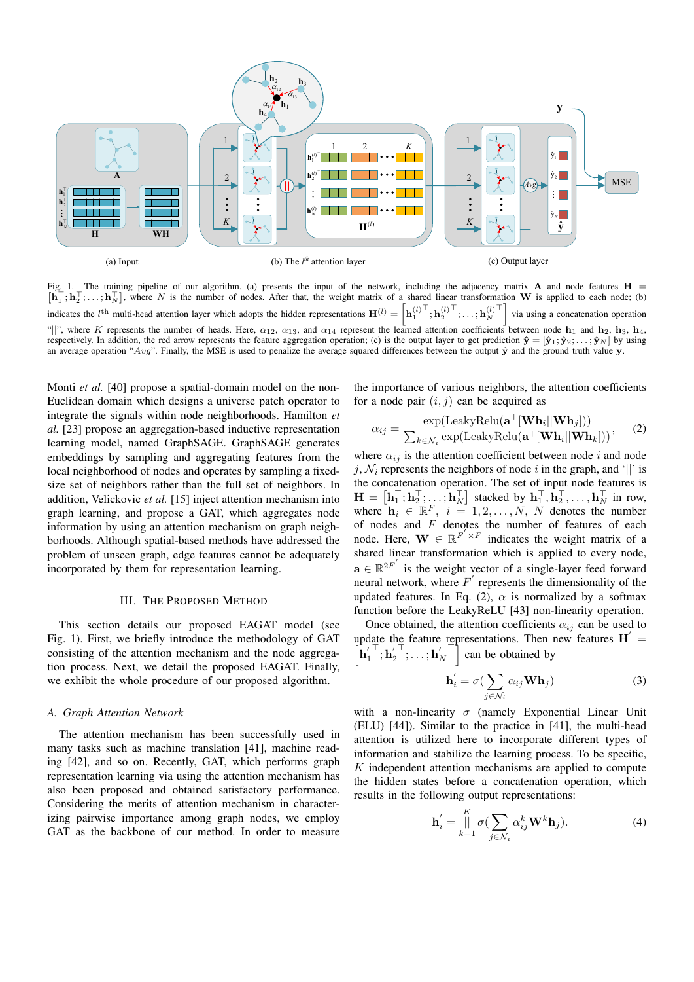

Fig. 1. The training pipeline of our algorithm. (a) presents the input of the network, including the adjacency matrix  $A$  and node features  $H =$  $[\mathbf{h}_1^\top; \mathbf{h}_2^\top; \dots; \mathbf{h}_N^\top]$ , where N is the number of nodes. After that, the weight matrix of a shared linear transformation W is applied to each node; (b) indicates the *l*<sup>th</sup> multi-head attention layer which adopts the hidden representations  $\mathbf{H}^{(l)} = \left| \mathbf{h}_{1}^{(l)} \right|^{\top}, \mathbf{h}_{2}^{(l)} \right|^{\top}, \dots, \mathbf{h}_{N}^{(l)}$ via using a concatenation operation "||", where K represents the number of heads. Here,  $\alpha_{12}$ ,  $\alpha_{13}$ , and  $\alpha_{14}$  represent the learned attention coefficients between node  $\mathbf{h}_1$  and  $\mathbf{h}_2$ ,  $\mathbf{h}_3$ ,  $\mathbf{h}_4$ , respectively. In addition, the red arrow represents the feature aggregation operation; (c) is the output layer to get prediction  $\hat{\mathbf{y}} = [\hat{\mathbf{y}}_1; \hat{\mathbf{y}}_2; \dots; \hat{\mathbf{y}}_N]$  by using an average operation "Avg". Finally, the MSE is used to penalize the average squared differences between the output  $\hat{y}$  and the ground truth value y.

Monti et al. [40] propose a spatial-domain model on the non-Euclidean domain which designs a universe patch operator to integrate the signals within node neighborhoods. Hamilton et al. [23] propose an aggregation-based inductive representation learning model, named GraphSAGE. GraphSAGE generates embeddings by sampling and aggregating features from the local neighborhood of nodes and operates by sampling a fixedsize set of neighbors rather than the full set of neighbors. In addition, Velickovic et al. [15] inject attention mechanism into graph learning, and propose a GAT, which aggregates node information by using an attention mechanism on graph neighborhoods. Although spatial-based methods have addressed the problem of unseen graph, edge features cannot be adequately incorporated by them for representation learning.

### **III. THE PROPOSED METHOD**

This section details our proposed EAGAT model (see Fig. 1). First, we briefly introduce the methodology of GAT consisting of the attention mechanism and the node aggregation process. Next, we detail the proposed EAGAT. Finally, we exhibit the whole procedure of our proposed algorithm.

#### A. Graph Attention Network

The attention mechanism has been successfully used in many tasks such as machine translation [41], machine reading [42], and so on. Recently, GAT, which performs graph representation learning via using the attention mechanism has also been proposed and obtained satisfactory performance. Considering the merits of attention mechanism in characterizing pairwise importance among graph nodes, we employ GAT as the backbone of our method. In order to measure the importance of various neighbors, the attention coefficients for a node pair  $(i, j)$  can be acquired as

$$
\alpha_{ij} = \frac{\exp(\text{LeakyRelu}(\mathbf{a}^{\top}[\mathbf{W}\mathbf{h}_i||\mathbf{W}\mathbf{h}_j]))}{\sum_{k \in \mathcal{N}_i} \exp(\text{LeakyRelu}(\mathbf{a}^{\top}[\mathbf{W}\mathbf{h}_i||\mathbf{W}\mathbf{h}_k]))},\tag{2}
$$

where  $\alpha_{ij}$  is the attention coefficient between node i and node j,  $\mathcal{N}_i$  represents the neighbors of node i in the graph, and '||' is the concatenation operation. The set of input node features is  $\mathbf{H} = [\mathbf{h}_1^\top; \mathbf{h}_2^\top; \dots; \mathbf{h}_N^\top]$  stacked by  $\mathbf{h}_1^\top, \mathbf{h}_2^\top, \dots, \mathbf{h}_N^\top$  in row, where  $\mathbf{h}_i \in \mathbb{R}^F$ ,  $i = 1, 2, \dots, N$ , N denotes the number of nodes and  $F$  denotes the number of features of each node. Here,  $\mathbf{W} \in \mathbb{R}^{F' \times F}$  indicates the weight matrix of a shared linear transformation which is applied to every node,  $\mathbf{a} \in \mathbb{R}^{2F'}$  is the weight vector of a single-layer feed forward neural network, where  $F'$  represents the dimensionality of the updated features. In Eq. (2),  $\alpha$  is normalized by a softmax function before the LeakyReLU [43] non-linearity operation.

Once obtained, the attention coefficients  $\alpha_{ij}$  can be used to update the feature representations. Then new features  $H' =$  $\left| \mathbf{h}_{1}^{\prime} \right| \mathbf{h}_{2}^{\prime} \left| \dots \mathbf{h}_{N}^{\prime} \right|$  can be obtained by

$$
\mathbf{h}'_i = \sigma \left( \sum_{j \in \mathcal{N}_i} \alpha_{ij} \mathbf{W} \mathbf{h}_j \right) \tag{3}
$$

with a non-linearity  $\sigma$  (namely Exponential Linear Unit (ELU) [44]). Similar to the practice in [41], the multi-head attention is utilized here to incorporate different types of information and stabilize the learning process. To be specific, K independent attention mechanisms are applied to compute the hidden states before a concatenation operation, which results in the following output representations:

$$
\mathbf{h}'_i = \bigsqcup_{k=1}^K \sigma(\sum_{j \in \mathcal{N}_i} \alpha_{ij}^k \mathbf{W}^k \mathbf{h}_j).
$$
 (4)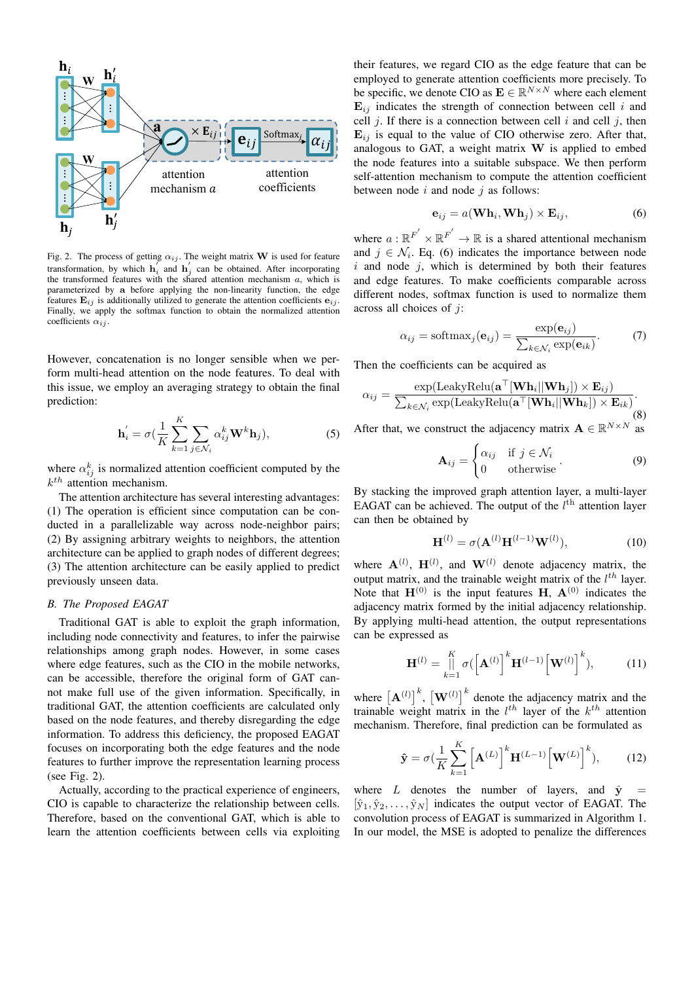

Fig. 2. The process of getting  $\alpha_{ij}$ . The weight matrix **W** is used for feature transformation, by which  $h'_i$  and  $h'_j$  can be obtained. After incorporating the transformed features with the shared attention mechanism  $a$ , which is parameterized by a before applying the non-linearity function, the edge features  $\mathbf{E}_{ij}$  is additionally utilized to generate the attention coefficients  $\mathbf{e}_{ij}$ . Finally, we apply the softmax function to obtain the normalized attention coefficients  $\alpha_{ij}$ .

However, concatenation is no longer sensible when we perform multi-head attention on the node features. To deal with this issue, we employ an averaging strategy to obtain the final prediction:

$$
\mathbf{h}'_i = \sigma(\frac{1}{K} \sum_{k=1}^K \sum_{j \in \mathcal{N}_i} \alpha_{ij}^k \mathbf{W}^k \mathbf{h}_j),
$$
 (5)

where  $\alpha_{ij}^{k}$  is normalized attention coefficient computed by the  $k^{th}$  attention mechanism.

The attention architecture has several interesting advantages: (1) The operation is efficient since computation can be conducted in a parallelizable way across node-neighbor pairs; (2) By assigning arbitrary weights to neighbors, the attention architecture can be applied to graph nodes of different degrees; (3) The attention architecture can be easily applied to predict previously unseen data.

#### **B.** The Proposed EAGAT

Traditional GAT is able to exploit the graph information, including node connectivity and features, to infer the pairwise relationships among graph nodes. However, in some cases where edge features, such as the CIO in the mobile networks, can be accessible, therefore the original form of GAT cannot make full use of the given information. Specifically, in traditional GAT, the attention coefficients are calculated only based on the node features, and thereby disregarding the edge information. To address this deficiency, the proposed EAGAT focuses on incorporating both the edge features and the node features to further improve the representation learning process (see Fig. 2).

Actually, according to the practical experience of engineers, CIO is capable to characterize the relationship between cells. Therefore, based on the conventional GAT, which is able to learn the attention coefficients between cells via exploiting

their features, we regard CIO as the edge feature that can be employed to generate attention coefficients more precisely. To be specific, we denote CIO as  $\mathbf{E} \in \mathbb{R}^{N \times N}$  where each element  $\mathbf{E}_{ij}$  indicates the strength of connection between cell i and cell j. If there is a connection between cell i and cell j, then  $\mathbf{E}_{ij}$  is equal to the value of CIO otherwise zero. After that, analogous to GAT, a weight matrix  $W$  is applied to embed the node features into a suitable subspace. We then perform self-attention mechanism to compute the attention coefficient between node  $i$  and node  $j$  as follows:

$$
\mathbf{e}_{ij} = a(\mathbf{W}\mathbf{h}_i, \mathbf{W}\mathbf{h}_j) \times \mathbf{E}_{ij},
$$
 (6)

where  $a: \mathbb{R}^{F'} \times \mathbb{R}^{F'} \to \mathbb{R}$  is a shared attentional mechanism and  $j \in \mathcal{N}_i$ . Eq. (6) indicates the importance between node  $i$  and node  $j$ , which is determined by both their features and edge features. To make coefficients comparable across different nodes, softmax function is used to normalize them across all choices of  $j$ :

$$
\alpha_{ij} = \text{softmax}_j(\mathbf{e}_{ij}) = \frac{\exp(\mathbf{e}_{ij})}{\sum_{k \in \mathcal{N}_i} \exp(\mathbf{e}_{ik})}.
$$
 (7)

Then the coefficients can be acquired as

$$
\alpha_{ij} = \frac{\exp(\text{LeakyRelu}(\mathbf{a}^{\top}[\mathbf{W}\mathbf{h}_i||\mathbf{W}\mathbf{h}_j]) \times \mathbf{E}_{ij})}{\sum_{k \in \mathcal{N}_i} \exp(\text{LeakyRelu}(\mathbf{a}^{\top}[\mathbf{W}\mathbf{h}_i||\mathbf{W}\mathbf{h}_k]) \times \mathbf{E}_{ik})}.
$$
\n(8)

After that, we construct the adjacency matrix  $\mathbf{A} \in \mathbb{R}^{N \times N}$  as

$$
\mathbf{A}_{ij} = \begin{cases} \alpha_{ij} & \text{if } j \in \mathcal{N}_i \\ 0 & \text{otherwise} \end{cases} . \tag{9}
$$

By stacking the improved graph attention layer, a multi-layer EAGAT can be achieved. The output of the  $l^{\text{th}}$  attention layer can then be obtained by

$$
\mathbf{H}^{(l)} = \sigma(\mathbf{A}^{(l)}\mathbf{H}^{(l-1)}\mathbf{W}^{(l)}),\tag{10}
$$

where  $\mathbf{A}^{(l)}$ ,  $\mathbf{H}^{(l)}$ , and  $\mathbf{W}^{(l)}$  denote adjacency matrix, the output matrix, and the trainable weight matrix of the  $l^{th}$  layer. Note that  $H^{(0)}$  is the input features H,  $A^{(0)}$  indicates the adjacency matrix formed by the initial adjacency relationship. By applying multi-head attention, the output representations can be expressed as

$$
\mathbf{H}^{(l)} = \iint\limits_{k=1}^{K} \sigma(\left[\mathbf{A}^{(l)}\right]^k \mathbf{H}^{(l-1)}\left[\mathbf{W}^{(l)}\right]^k), \tag{11}
$$

where  $\left[\mathbf{A}^{(l)}\right]^k$ ,  $\left[\mathbf{W}^{(l)}\right]^k$  denote the adjacency matrix and the trainable weight matrix in the  $l^{th}$  layer of the  $k^{th}$  attention mechanism. Therefore, final prediction can be formulated as

$$
\hat{\mathbf{y}} = \sigma \left(\frac{1}{K} \sum_{k=1}^{K} \left[ \mathbf{A}^{(L)} \right]^k \mathbf{H}^{(L-1)} \left[ \mathbf{W}^{(L)} \right]^k \right), \tag{12}
$$

where  $L$  denotes the number of layers, and  $\hat{y}$  $[\hat{y}_1, \hat{y}_2, \dots, \hat{y}_N]$  indicates the output vector of EAGAT. The convolution process of EAGAT is summarized in Algorithm 1. In our model, the MSE is adopted to penalize the differences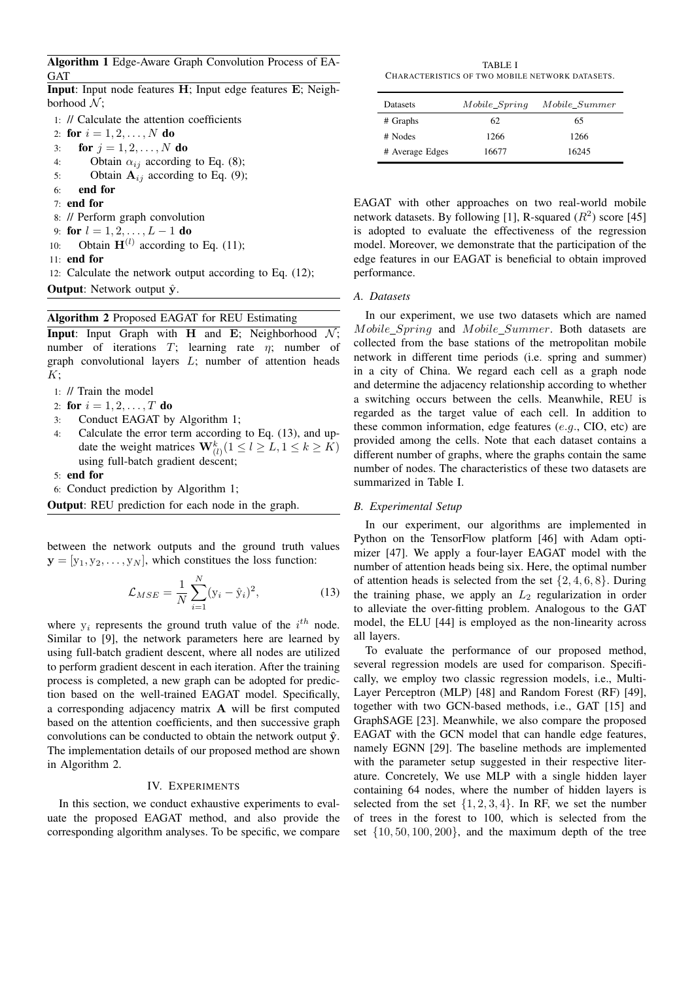Algorithm 1 Edge-Aware Graph Convolution Process of EA-**GAT** 

Input: Input node features H; Input edge features E; Neighborhood  $\mathcal{N}$ ;

1: // Calculate the attention coefficients 2: for  $i = 1, 2, ..., N$  do for  $j = 1, 2, ..., N$  do  $\overline{3}$ : Obtain  $\alpha_{ij}$  according to Eq. (8);  $4:$ Obtain  $A_{ij}$  according to Eq. (9);  $5:$ end for 6:  $7:$  end for 8: // Perform graph convolution for  $l = 1, 2, ..., L - 1$  do 9: Obtain  $H^{(l)}$  according to Eq. (11);  $10:$ 11: end for 12: Calculate the network output according to Eq. (12); **Output:** Network output  $\hat{y}$ .

# **Algorithm 2 Proposed EAGAT for REU Estimating**

**Input**: Input Graph with **H** and **E**; Neighborhood  $\mathcal{N}$ ; number of iterations  $T$ ; learning rate  $\eta$ ; number of graph convolutional layers  $L$ ; number of attention heads  $K$ ;

1: // Train the model

- 2: for  $i = 1, 2, ..., T$  do
- Conduct EAGAT by Algorithm 1;  $\mathcal{F}$
- Calculate the error term according to Eq. (13), and up- $4:$ date the weight matrices  $\mathbf{W}_{(l)}^k (1 \leq l \geq L, 1 \leq k \geq K)$ using full-batch gradient descent;

5: end for

6: Conduct prediction by Algorithm 1;

**Output:** REU prediction for each node in the graph.

between the network outputs and the ground truth values  $\mathbf{y} = [y_1, y_2, \dots, y_N]$ , which constitues the loss function:

$$
\mathcal{L}_{MSE} = \frac{1}{N} \sum_{i=1}^{N} (y_i - \hat{y}_i)^2,
$$
\n(13)

where  $y_i$  represents the ground truth value of the  $i^{th}$  node. Similar to [9], the network parameters here are learned by using full-batch gradient descent, where all nodes are utilized to perform gradient descent in each iteration. After the training process is completed, a new graph can be adopted for prediction based on the well-trained EAGAT model. Specifically, a corresponding adjacency matrix A will be first computed based on the attention coefficients, and then successive graph convolutions can be conducted to obtain the network output  $\hat{y}$ . The implementation details of our proposed method are shown in Algorithm 2.

#### **IV. EXPERIMENTS**

In this section, we conduct exhaustive experiments to evaluate the proposed EAGAT method, and also provide the corresponding algorithm analyses. To be specific, we compare

**TABLE I** CHARACTERISTICS OF TWO MOBILE NETWORK DATASETS.

| <b>Datasets</b> | Mobile_Spring | Mobile Summer |
|-----------------|---------------|---------------|
| # Graphs        | 62            | 65            |
| # Nodes         | 1266          | 1266          |
| # Average Edges | 16677         | 16245         |

EAGAT with other approaches on two real-world mobile network datasets. By following [1], R-squared  $(R^2)$  score [45] is adopted to evaluate the effectiveness of the regression model. Moreover, we demonstrate that the participation of the edge features in our EAGAT is beneficial to obtain improved performance.

#### A. Datasets

In our experiment, we use two datasets which are named Mobile\_Spring and Mobile\_Summer. Both datasets are collected from the base stations of the metropolitan mobile network in different time periods (i.e. spring and summer) in a city of China. We regard each cell as a graph node and determine the adjacency relationship according to whether a switching occurs between the cells. Meanwhile, REU is regarded as the target value of each cell. In addition to these common information, edge features  $(e.g., ClO, etc)$  are provided among the cells. Note that each dataset contains a different number of graphs, where the graphs contain the same number of nodes. The characteristics of these two datasets are summarized in Table I.

#### **B.** Experimental Setup

In our experiment, our algorithms are implemented in Python on the TensorFlow platform [46] with Adam optimizer [47]. We apply a four-layer EAGAT model with the number of attention heads being six. Here, the optimal number of attention heads is selected from the set  $\{2, 4, 6, 8\}$ . During the training phase, we apply an  $L_2$  regularization in order to alleviate the over-fitting problem. Analogous to the GAT model, the ELU [44] is employed as the non-linearity across all layers.

To evaluate the performance of our proposed method, several regression models are used for comparison. Specifically, we employ two classic regression models, i.e., Multi-Layer Perceptron (MLP) [48] and Random Forest (RF) [49], together with two GCN-based methods, i.e., GAT [15] and GraphSAGE [23]. Meanwhile, we also compare the proposed EAGAT with the GCN model that can handle edge features, namely EGNN [29]. The baseline methods are implemented with the parameter setup suggested in their respective literature. Concretely, We use MLP with a single hidden layer containing 64 nodes, where the number of hidden layers is selected from the set  $\{1, 2, 3, 4\}$ . In RF, we set the number of trees in the forest to 100, which is selected from the set  $\{10, 50, 100, 200\}$ , and the maximum depth of the tree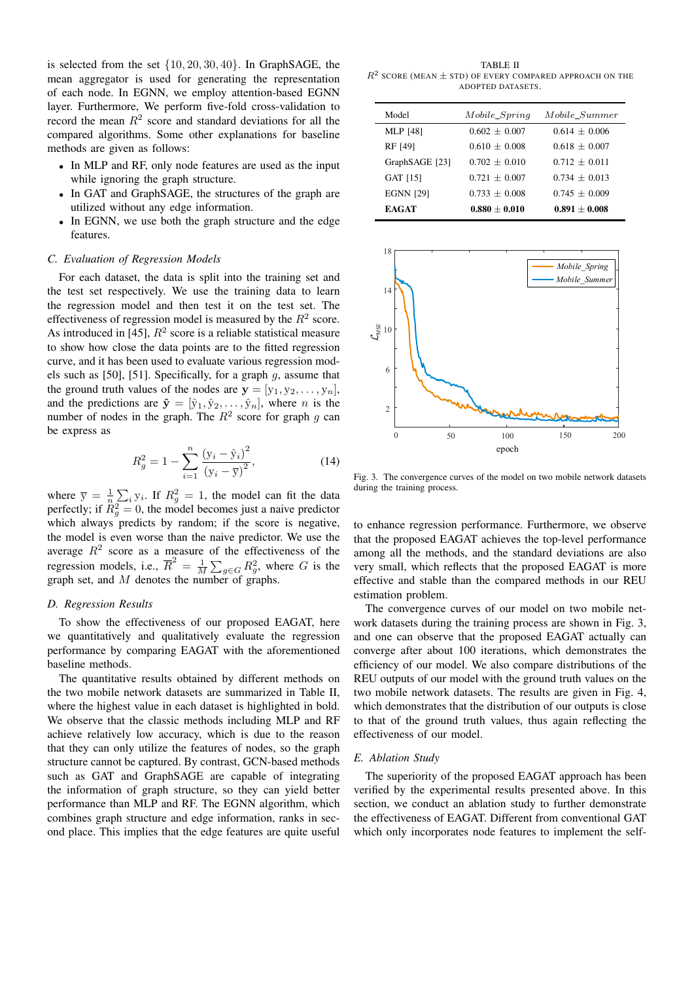is selected from the set  $\{10, 20, 30, 40\}$ . In GraphSAGE, the mean aggregator is used for generating the representation of each node. In EGNN, we employ attention-based EGNN layer. Furthermore, We perform five-fold cross-validation to record the mean  $R^2$  score and standard deviations for all the compared algorithms. Some other explanations for baseline methods are given as follows:

- In MLP and RF, only node features are used as the input while ignoring the graph structure.
- In GAT and GraphSAGE, the structures of the graph are utilized without any edge information.
- In EGNN, we use both the graph structure and the edge features.

## C. Evaluation of Regression Models

For each dataset, the data is split into the training set and the test set respectively. We use the training data to learn the regression model and then test it on the test set. The effectiveness of regression model is measured by the  $R^2$  score. As introduced in [45],  $R^2$  score is a reliable statistical measure to show how close the data points are to the fitted regression curve, and it has been used to evaluate various regression models such as [50], [51]. Specifically, for a graph  $g$ , assume that the ground truth values of the nodes are  $y = [y_1, y_2, \dots, y_n]$ , and the predictions are  $\hat{\mathbf{y}} = [\hat{y}_1, \hat{y}_2, \dots, \hat{y}_n]$ , where *n* is the number of nodes in the graph. The  $R^2$  score for graph q can be express as

$$
R_g^2 = 1 - \sum_{i=1}^n \frac{(y_i - \hat{y}_i)^2}{(y_i - \overline{y})^2},
$$
 (14)

where  $\overline{y} = \frac{1}{n} \sum_i y_i$ . If  $R_g^2 = 1$ , the model can fit the data perfectly; if  $R_g^2 = 0$ , the model becomes just a naive predictor which always predicts by random; if the score is negative, the model is even worse than the naive predictor. We use the average  $R^2$  score as a measure of the effectiveness of the regression models, i.e.,  $\overline{R}^2 = \frac{1}{M} \sum_{g \in G} R_g^2$ , where G is the graph set, and M denotes the number of graphs.

#### D. Regression Results

To show the effectiveness of our proposed EAGAT, here we quantitatively and qualitatively evaluate the regression performance by comparing EAGAT with the aforementioned baseline methods.

The quantitative results obtained by different methods on the two mobile network datasets are summarized in Table II, where the highest value in each dataset is highlighted in bold. We observe that the classic methods including MLP and RF achieve relatively low accuracy, which is due to the reason that they can only utilize the features of nodes, so the graph structure cannot be captured. By contrast, GCN-based methods such as GAT and GraphSAGE are capable of integrating the information of graph structure, so they can yield better performance than MLP and RF. The EGNN algorithm, which combines graph structure and edge information, ranks in second place. This implies that the edge features are quite useful

**TABLE II**  $R^2$  SCORE (MEAN  $\pm$  STD) OF EVERY COMPARED APPROACH ON THE ADOPTED DATASETS.

| Model            | $Mobile\_Spring$ | Mobile Summer   |
|------------------|------------------|-----------------|
| MLP [48]         | $0.602 + 0.007$  | $0.614 + 0.006$ |
| RF [49]          | $0.610 + 0.008$  | $0.618 + 0.007$ |
| GraphSAGE [23]   | $0.702 + 0.010$  | $0.712 + 0.011$ |
| GAT [15]         | $0.721 + 0.007$  | $0.734 + 0.013$ |
| <b>EGNN [29]</b> | $0.733 + 0.008$  | $0.745 + 0.009$ |
| <b>EAGAT</b>     | $0.880 + 0.010$  | $0.891 + 0.008$ |



Fig. 3. The convergence curves of the model on two mobile network datasets during the training process.

to enhance regression performance. Furthermore, we observe that the proposed EAGAT achieves the top-level performance among all the methods, and the standard deviations are also very small, which reflects that the proposed EAGAT is more effective and stable than the compared methods in our REU estimation problem.

The convergence curves of our model on two mobile network datasets during the training process are shown in Fig. 3, and one can observe that the proposed EAGAT actually can converge after about 100 iterations, which demonstrates the efficiency of our model. We also compare distributions of the REU outputs of our model with the ground truth values on the two mobile network datasets. The results are given in Fig. 4, which demonstrates that the distribution of our outputs is close to that of the ground truth values, thus again reflecting the effectiveness of our model.

#### E. Ablation Study

The superiority of the proposed EAGAT approach has been verified by the experimental results presented above. In this section, we conduct an ablation study to further demonstrate the effectiveness of EAGAT. Different from conventional GAT which only incorporates node features to implement the self-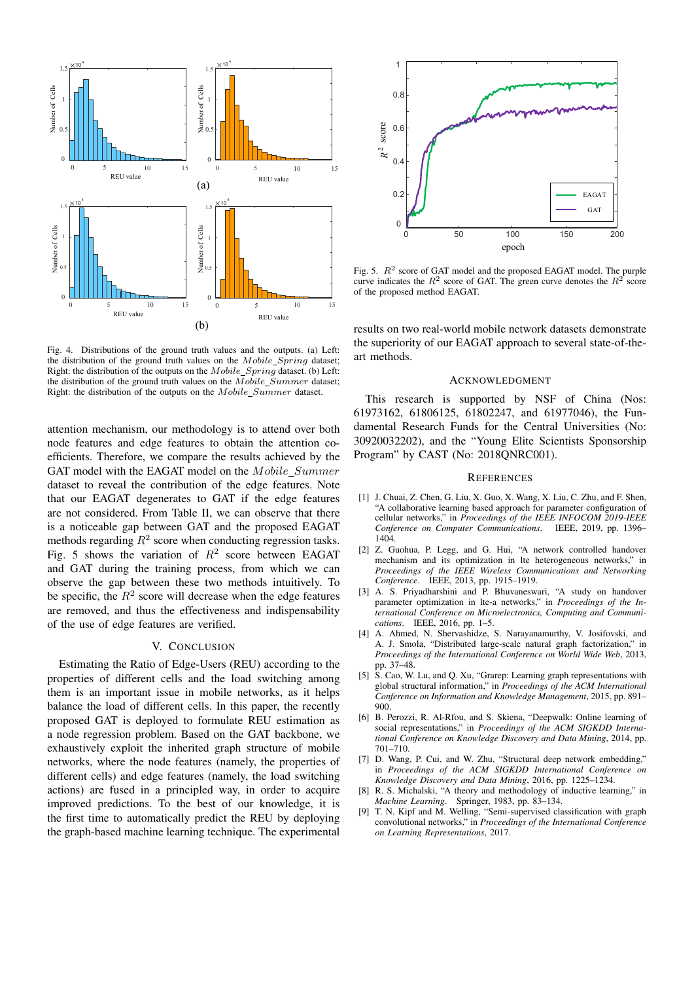

Fig. 4. Distributions of the ground truth values and the outputs. (a) Left: the distribution of the ground truth values on the Mobile\_Spring dataset; Right: the distribution of the outputs on the Mobile\_Spring dataset. (b) Left: the distribution of the ground truth values on the Mobile\_Summer dataset; Right: the distribution of the outputs on the Mobile\_Summer dataset.

attention mechanism, our methodology is to attend over both node features and edge features to obtain the attention coefficients. Therefore, we compare the results achieved by the GAT model with the EAGAT model on the Mobile\_Summer dataset to reveal the contribution of the edge features. Note that our EAGAT degenerates to GAT if the edge features are not considered. From Table II, we can observe that there is a noticeable gap between GAT and the proposed EAGAT methods regarding  $R^2$  score when conducting regression tasks. Fig. 5 shows the variation of  $R^2$  score between EAGAT and GAT during the training process, from which we can observe the gap between these two methods intuitively. To be specific, the  $R^2$  score will decrease when the edge features are removed, and thus the effectiveness and indispensability of the use of edge features are verified.

## V. CONCLUSION

Estimating the Ratio of Edge-Users (REU) according to the properties of different cells and the load switching among them is an important issue in mobile networks, as it helps balance the load of different cells. In this paper, the recently proposed GAT is deployed to formulate REU estimation as a node regression problem. Based on the GAT backbone, we exhaustively exploit the inherited graph structure of mobile networks, where the node features (namely, the properties of different cells) and edge features (namely, the load switching actions) are fused in a principled way, in order to acquire improved predictions. To the best of our knowledge, it is the first time to automatically predict the REU by deploying the graph-based machine learning technique. The experimental



Fig. 5.  $R^2$  score of GAT model and the proposed EAGAT model. The purple curve indicates the  $R^2$  score of GAT. The green curve denotes the  $R^2$  score of the proposed method EAGAT.

results on two real-world mobile network datasets demonstrate the superiority of our EAGAT approach to several state-of-theart methods.

#### **ACKNOWLEDGMENT**

This research is supported by NSF of China (Nos: 61973162, 61806125, 61802247, and 61977046), the Fundamental Research Funds for the Central Universities (No: 30920032202), and the "Young Elite Scientists Sponsorship Program" by CAST (No: 2018ONRC001).

#### **REFERENCES**

- [1] J. Chuai, Z. Chen, G. Liu, X. Guo, X. Wang, X. Liu, C. Zhu, and F. Shen, "A collaborative learning based approach for parameter configuration of cellular networks," in Proceedings of the IEEE INFOCOM 2019-IEEE Conference on Computer Communications. IEEE, 2019, pp. 1396– 1404.
- [2] Z. Guohua, P. Legg, and G. Hui, "A network controlled handover mechanism and its optimization in Ite heterogeneous networks," in Proceedings of the IEEE Wireless Communications and Networking Conference. IEEE, 2013, pp. 1915-1919.
- [3] A. S. Priyadharshini and P. Bhuvaneswari, "A study on handover parameter optimization in lte-a networks," in Proceedings of the International Conference on Microelectronics, Computing and Communications. IEEE, 2016, pp. 1-5.
- [4] A. Ahmed, N. Shervashidze, S. Narayanamurthy, V. Josifovski, and A. J. Smola, "Distributed large-scale natural graph factorization," in Proceedings of the International Conference on World Wide Web, 2013, pp. 37-48.
- [5] S. Cao, W. Lu, and Q. Xu, "Grarep: Learning graph representations with global structural information," in Proceedings of the ACM International Conference on Information and Knowledge Management, 2015, pp. 891-900
- [6] B. Perozzi, R. Al-Rfou, and S. Skiena, "Deepwalk: Online learning of social representations," in Proceedings of the ACM SIGKDD International Conference on Knowledge Discovery and Data Mining, 2014, pp.  $701 - 710.$
- [7] D. Wang, P. Cui, and W. Zhu, "Structural deep network embedding," in Proceedings of the ACM SIGKDD International Conference on Knowledge Discovery and Data Mining, 2016, pp. 1225-1234.
- [8] R. S. Michalski, "A theory and methodology of inductive learning," in Machine Learning. Springer, 1983, pp. 83-134.
- $[9]$ T. N. Kipf and M. Welling, "Semi-supervised classification with graph convolutional networks," in Proceedings of the International Conference on Learning Representations, 2017.